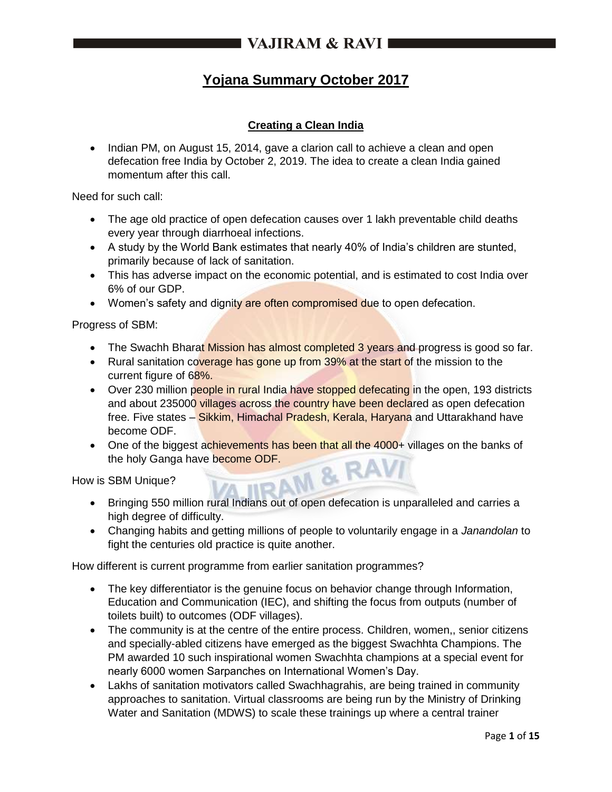# **Yojana Summary October 2017**

## **Creating a Clean India**

• Indian PM, on August 15, 2014, gave a clarion call to achieve a clean and open defecation free India by October 2, 2019. The idea to create a clean India gained momentum after this call.

Need for such call:

- The age old practice of open defecation causes over 1 lakh preventable child deaths every year through diarrhoeal infections.
- A study by the World Bank estimates that nearly 40% of India's children are stunted, primarily because of lack of sanitation.
- This has adverse impact on the economic potential, and is estimated to cost India over 6% of our GDP.
- Women's safety and dignity are often compromised due to open defecation.

Progress of SBM:

- The Swachh Bharat Mission has almost completed 3 years and progress is good so far.
- Rural sanitation coverage has gone up from 39% at the start of the mission to the current figure of 68%.
- Over 230 million people in rural India have stopped defecating in the open, 193 districts and about 235000 villages across the country have been declared as open defecation free. Five states – Sikkim, Himachal Pradesh, Kerala, Haryana and Uttarakhand have become ODF.
- One of the biggest achievements has been that all the 4000+ villages on the banks of the holy Ganga have become ODF. **A & RAVI**

How is SBM Unique?

- Bringing 550 million rural Indians out of open defecation is unparalleled and carries a high degree of difficulty.
- Changing habits and getting millions of people to voluntarily engage in a *Janandolan* to fight the centuries old practice is quite another.

How different is current programme from earlier sanitation programmes?

- The key differentiator is the genuine focus on behavior change through Information, Education and Communication (IEC), and shifting the focus from outputs (number of toilets built) to outcomes (ODF villages).
- The community is at the centre of the entire process. Children, women,, senior citizens and specially-abled citizens have emerged as the biggest Swachhta Champions. The PM awarded 10 such inspirational women Swachhta champions at a special event for nearly 6000 women Sarpanches on International Women's Day.
- Lakhs of sanitation motivators called Swachhagrahis, are being trained in community approaches to sanitation. Virtual classrooms are being run by the Ministry of Drinking Water and Sanitation (MDWS) to scale these trainings up where a central trainer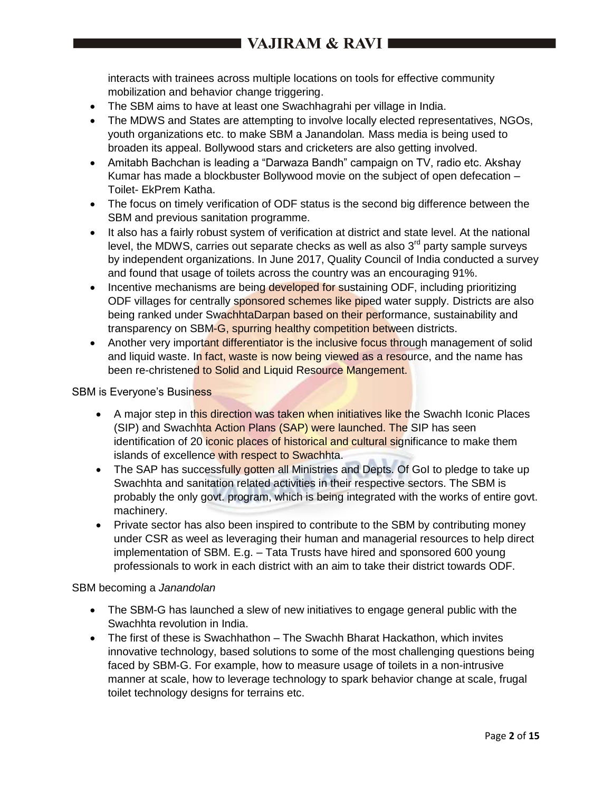interacts with trainees across multiple locations on tools for effective community mobilization and behavior change triggering.

- The SBM aims to have at least one Swachhagrahi per village in India.
- The MDWS and States are attempting to involve locally elected representatives, NGOs, youth organizations etc. to make SBM a Janandolan*.* Mass media is being used to broaden its appeal. Bollywood stars and cricketers are also getting involved.
- Amitabh Bachchan is leading a "Darwaza Bandh" campaign on TV, radio etc. Akshay Kumar has made a blockbuster Bollywood movie on the subject of open defecation – Toilet- EkPrem Katha.
- The focus on timely verification of ODF status is the second big difference between the SBM and previous sanitation programme.
- It also has a fairly robust system of verification at district and state level. At the national level, the MDWS, carries out separate checks as well as also  $3<sup>rd</sup>$  party sample surveys by independent organizations. In June 2017, Quality Council of India conducted a survey and found that usage of toilets across the country was an encouraging 91%.
- Incentive mechanisms are being developed for sustaining ODF, including prioritizing ODF villages for centrally sponsored schemes like piped water supply. Districts are also being ranked under SwachhtaDarpan based on their performance, sustainability and transparency on SBM-G, spurring healthy competition between districts.
- Another very important differentiator is the inclusive focus through management of solid and liquid waste. In fact, waste is now being viewed as a resource, and the name has been re-christened to Solid and Liquid Resource Mangement.

#### SBM is Everyone's Business

- A major step in this direction was taken when initiatives like the Swachh Iconic Places (SIP) and Swachhta Action Plans (SAP) were launched. The SIP has seen identification of 20 iconic places of historical and cultural significance to make them islands of excellence with respect to Swachhta.
- The SAP has successfully gotten all Ministries and Depts. Of GoI to pledge to take up Swachhta and sanitation related activities in their respective sectors. The SBM is probably the only govt. program, which is being integrated with the works of entire govt. machinery.
- Private sector has also been inspired to contribute to the SBM by contributing money under CSR as weel as leveraging their human and managerial resources to help direct implementation of SBM. E.g. – Tata Trusts have hired and sponsored 600 young professionals to work in each district with an aim to take their district towards ODF.

#### SBM becoming a *Janandolan*

- The SBM-G has launched a slew of new initiatives to engage general public with the Swachhta revolution in India.
- The first of these is Swachhathon The Swachh Bharat Hackathon, which invites innovative technology, based solutions to some of the most challenging questions being faced by SBM-G. For example, how to measure usage of toilets in a non-intrusive manner at scale, how to leverage technology to spark behavior change at scale, frugal toilet technology designs for terrains etc.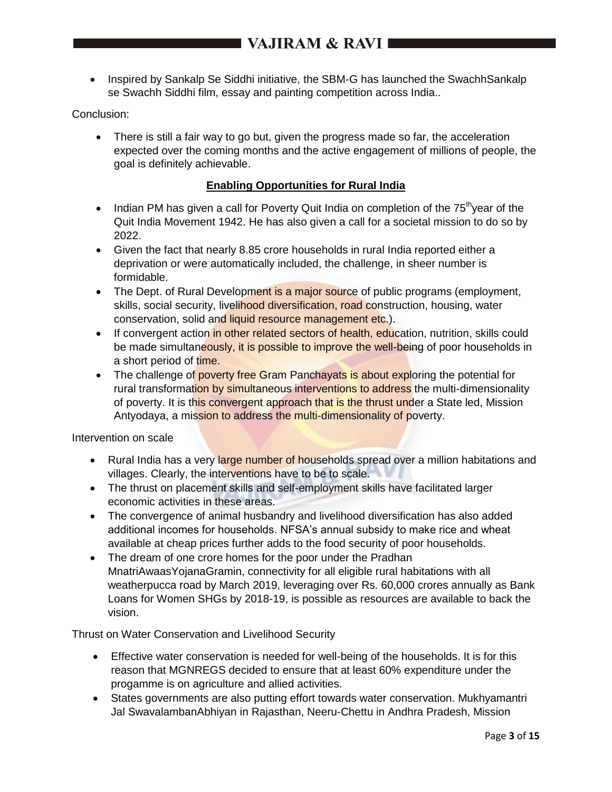• Inspired by Sankalp Se Siddhi initiative, the SBM-G has launched the SwachhSankalp se Swachh Siddhi film, essay and painting competition across India..

## Conclusion:

 There is still a fair way to go but, given the progress made so far, the acceleration expected over the coming months and the active engagement of millions of people, the goal is definitely achievable.

## **Enabling Opportunities for Rural India**

- Indian PM has given a call for Poverty Quit India on completion of the  $75<sup>th</sup>$ year of the Quit India Movement 1942. He has also given a call for a societal mission to do so by 2022.
- Given the fact that nearly 8.85 crore households in rural India reported either a deprivation or were automatically included, the challenge, in sheer number is formidable.
- The Dept. of Rural Development is a major source of public programs (employment, skills, social security, livelihood diversification, road construction, housing, water conservation, solid and liquid resource management etc.).
- If convergent action in other related sectors of health, education, nutrition, skills could be made simultaneously, it is possible to improve the well-being of poor households in a short period of time.
- The challenge of poverty free Gram Panchayats is about exploring the potential for rural transformation by simultaneous interventions to address the multi-dimensionality of poverty. It is this convergent approach that is the thrust under a State led. Mission Antyodaya, a mission to address the multi-dimensionality of poverty.

Intervention on scale

- Rural India has a very large number of households spread over a million habitations and villages. Clearly, the interventions have to be to scale.
- The thrust on placement skills and self-employment skills have facilitated larger economic activities in these areas.
- The convergence of animal husbandry and livelihood diversification has also added additional incomes for households. NFSA's annual subsidy to make rice and wheat available at cheap prices further adds to the food security of poor households.
- The dream of one crore homes for the poor under the Pradhan MnatriAwaasYojanaGramin, connectivity for all eligible rural habitations with all weatherpucca road by March 2019, leveraging over Rs. 60,000 crores annually as Bank Loans for Women SHGs by 2018-19, is possible as resources are available to back the vision.

## Thrust on Water Conservation and Livelihood Security

- Effective water conservation is needed for well-being of the households. It is for this reason that MGNREGS decided to ensure that at least 60% expenditure under the progamme is on agriculture and allied activities.
- States governments are also putting effort towards water conservation. Mukhyamantri Jal SwavalambanAbhiyan in Rajasthan, Neeru-Chettu in Andhra Pradesh, Mission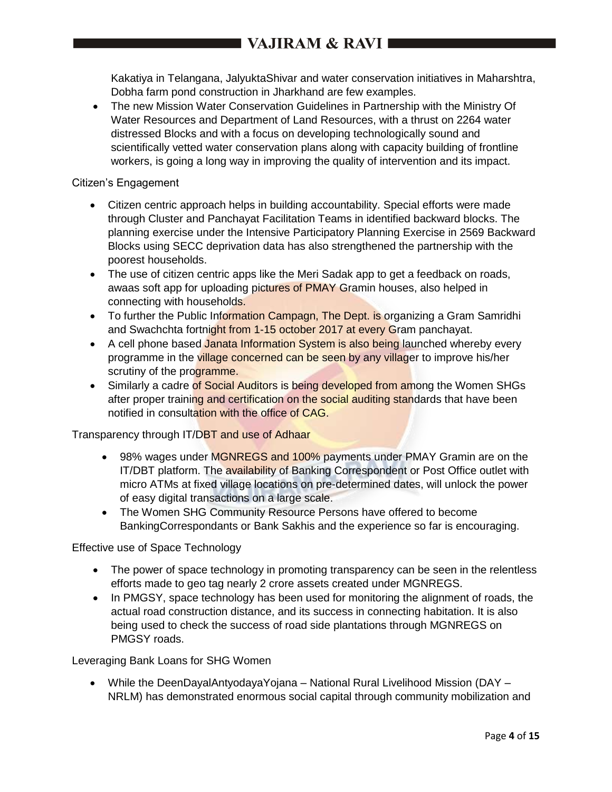Kakatiya in Telangana, JalyuktaShivar and water conservation initiatives in Maharshtra, Dobha farm pond construction in Jharkhand are few examples.

 The new Mission Water Conservation Guidelines in Partnership with the Ministry Of Water Resources and Department of Land Resources, with a thrust on 2264 water distressed Blocks and with a focus on developing technologically sound and scientifically vetted water conservation plans along with capacity building of frontline workers, is going a long way in improving the quality of intervention and its impact.

#### Citizen's Engagement

- Citizen centric approach helps in building accountability. Special efforts were made through Cluster and Panchayat Facilitation Teams in identified backward blocks. The planning exercise under the Intensive Participatory Planning Exercise in 2569 Backward Blocks using SECC deprivation data has also strengthened the partnership with the poorest households.
- The use of citizen centric apps like the Meri Sadak app to get a feedback on roads, awaas soft app for uploading pictures of PMAY Gramin houses, also helped in connecting with households.
- To further the Public Information Campagn, The Dept. is organizing a Gram Samridhi and Swachchta fortnight from 1-15 october 2017 at every Gram panchayat.
- A cell phone based Janata Information System is also being launched whereby every programme in the village concerned can be seen by any villager to improve his/her scrutiny of the programme.
- Similarly a cadre of Social Auditors is being developed from among the Women SHGs after proper training and certification on the social auditing standards that have been notified in consultation with the office of CAG.

Transparency through IT/DBT and use of Adhaar

- 98% wages under MGNREGS and 100% payments under PMAY Gramin are on the IT/DBT platform. The availability of Banking Correspondent or Post Office outlet with micro ATMs at fixed village locations on pre-determined dates, will unlock the power of easy digital transactions on a large scale.
- The Women SHG Community Resource Persons have offered to become BankingCorrespondants or Bank Sakhis and the experience so far is encouraging.

Effective use of Space Technology

- The power of space technology in promoting transparency can be seen in the relentless efforts made to geo tag nearly 2 crore assets created under MGNREGS.
- In PMGSY, space technology has been used for monitoring the alignment of roads, the actual road construction distance, and its success in connecting habitation. It is also being used to check the success of road side plantations through MGNREGS on PMGSY roads.

Leveraging Bank Loans for SHG Women

 While the DeenDayalAntyodayaYojana – National Rural Livelihood Mission (DAY – NRLM) has demonstrated enormous social capital through community mobilization and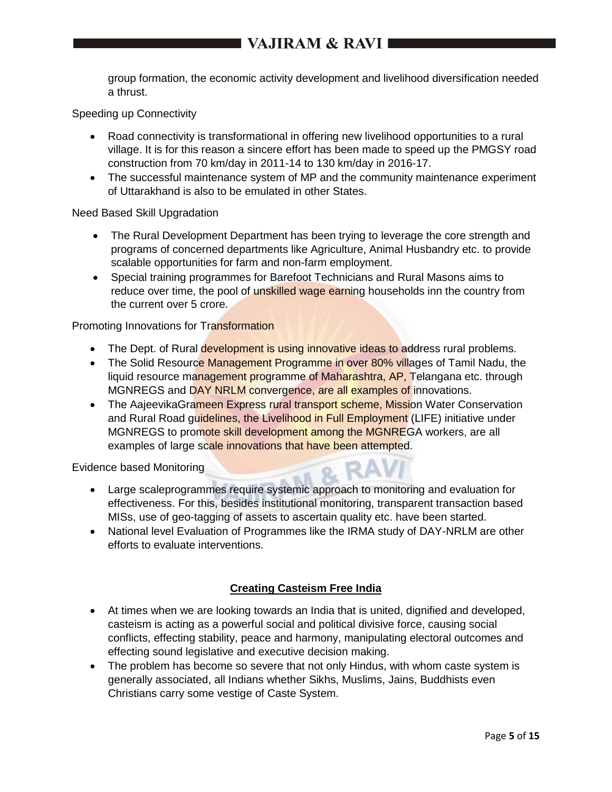group formation, the economic activity development and livelihood diversification needed a thrust.

Speeding up Connectivity

- Road connectivity is transformational in offering new livelihood opportunities to a rural village. It is for this reason a sincere effort has been made to speed up the PMGSY road construction from 70 km/day in 2011-14 to 130 km/day in 2016-17.
- The successful maintenance system of MP and the community maintenance experiment of Uttarakhand is also to be emulated in other States.

## Need Based Skill Upgradation

- The Rural Development Department has been trying to leverage the core strength and programs of concerned departments like Agriculture, Animal Husbandry etc. to provide scalable opportunities for farm and non-farm employment.
- Special training programmes for Barefoot Technicians and Rural Masons aims to reduce over time, the pool of unskilled wage earning households inn the country from the current over 5 crore.

## Promoting Innovations for Transformation

- The Dept. of Rural development is using innovative ideas to address rural problems.
- The Solid Resource Management Programme in over 80% villages of Tamil Nadu, the liquid resource management programme of Maharashtra, AP, Telangana etc. through MGNREGS and DAY NRLM convergence, are all examples of innovations.
- The AajeevikaGrameen Express rural transport scheme, Mission Water Conservation and Rural Road guidelines, the Livelihood in Full Employment (LIFE) initiative under MGNREGS to promote skill development among the MGNREGA workers, are all examples of large scale innovations that have been attempted.

Evidence based Monitoring

- Large scaleprogrammes require systemic approach to monitoring and evaluation for effectiveness. For this, besides institutional monitoring, transparent transaction based MISs, use of geo-tagging of assets to ascertain quality etc. have been started.
- National level Evaluation of Programmes like the IRMA study of DAY-NRLM are other efforts to evaluate interventions.

## **Creating Casteism Free India**

- At times when we are looking towards an India that is united, dignified and developed, casteism is acting as a powerful social and political divisive force, causing social conflicts, effecting stability, peace and harmony, manipulating electoral outcomes and effecting sound legislative and executive decision making.
- The problem has become so severe that not only Hindus, with whom caste system is generally associated, all Indians whether Sikhs, Muslims, Jains, Buddhists even Christians carry some vestige of Caste System.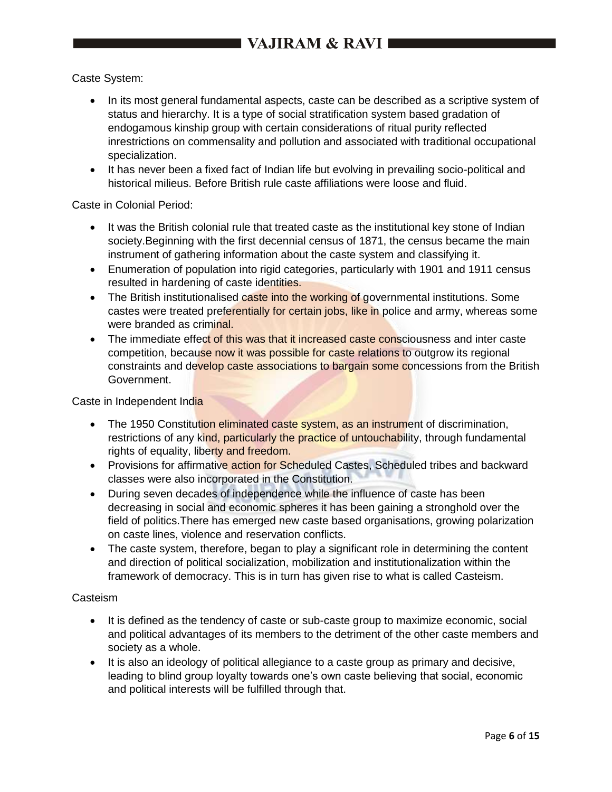Caste System:

- In its most general fundamental aspects, caste can be described as a scriptive system of status and hierarchy. It is a type of social stratification system based gradation of endogamous kinship group with certain considerations of ritual purity reflected inrestrictions on commensality and pollution and associated with traditional occupational specialization.
- It has never been a fixed fact of Indian life but evolving in prevailing socio-political and historical milieus. Before British rule caste affiliations were loose and fluid.

Caste in Colonial Period:

- It was the British colonial rule that treated caste as the institutional key stone of Indian society.Beginning with the first decennial census of 1871, the census became the main instrument of gathering information about the caste system and classifying it.
- Enumeration of population into rigid categories, particularly with 1901 and 1911 census resulted in hardening of caste identities.
- The British institutionalised caste into the working of governmental institutions. Some castes were treated preferentially for certain jobs, like in police and army, whereas some were branded as criminal.
- The immediate effect of this was that it increased caste consciousness and inter caste competition, because now it was possible for caste relations to outgrow its regional constraints and develop caste associations to bargain some concessions from the British Government.

Caste in Independent India

- The 1950 Constitution eliminated caste system, as an instrument of discrimination, restrictions of any kind, particularly the practice of untouchability, through fundamental rights of equality, liberty and freedom.
- Provisions for affirmative action for Scheduled Castes, Scheduled tribes and backward classes were also incorporated in the Constitution.
- During seven decades of independence while the influence of caste has been decreasing in social and economic spheres it has been gaining a stronghold over the field of politics.There has emerged new caste based organisations, growing polarization on caste lines, violence and reservation conflicts.
- The caste system, therefore, began to play a significant role in determining the content and direction of political socialization, mobilization and institutionalization within the framework of democracy. This is in turn has given rise to what is called Casteism.

## Casteism

- It is defined as the tendency of caste or sub-caste group to maximize economic, social and political advantages of its members to the detriment of the other caste members and society as a whole.
- It is also an ideology of political allegiance to a caste group as primary and decisive, leading to blind group loyalty towards one's own caste believing that social, economic and political interests will be fulfilled through that.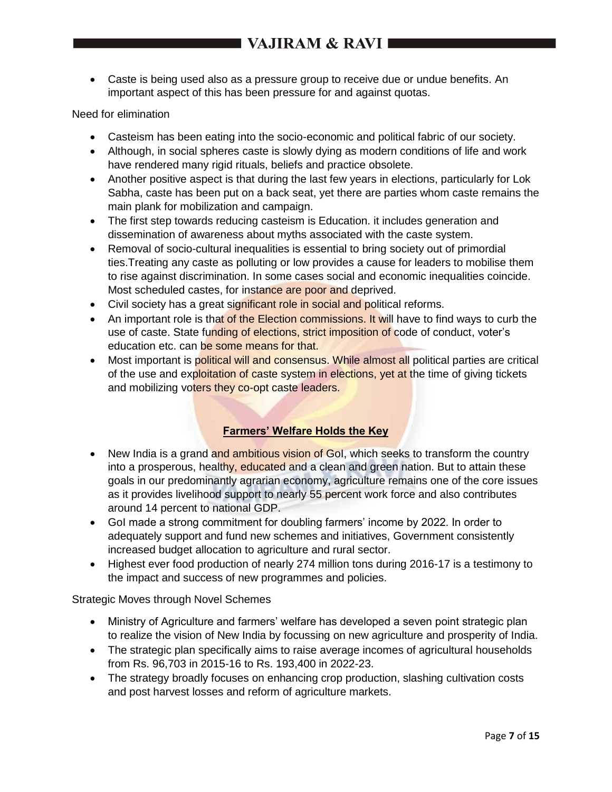Caste is being used also as a pressure group to receive due or undue benefits. An important aspect of this has been pressure for and against quotas.

## Need for elimination

- Casteism has been eating into the socio-economic and political fabric of our society.
- Although, in social spheres caste is slowly dying as modern conditions of life and work have rendered many rigid rituals, beliefs and practice obsolete.
- Another positive aspect is that during the last few years in elections, particularly for Lok Sabha, caste has been put on a back seat, yet there are parties whom caste remains the main plank for mobilization and campaign.
- The first step towards reducing casteism is Education. it includes generation and dissemination of awareness about myths associated with the caste system.
- Removal of socio-cultural inequalities is essential to bring society out of primordial ties.Treating any caste as polluting or low provides a cause for leaders to mobilise them to rise against discrimination. In some cases social and economic inequalities coincide. Most scheduled castes, for instance are poor and deprived.
- Civil society has a great significant role in social and political reforms.
- An important role is that of the Election commissions. It will have to find ways to curb the use of caste. State funding of elections, strict imposition of code of conduct, voter's education etc. can be some means for that.
- Most important is political will and consensus. While almost all political parties are critical of the use and exploitation of caste system in elections, yet at the time of giving tickets and mobilizing voters they co-opt caste leaders.

## **Farmers' Welfare Holds the Key**

- New India is a grand and ambitious vision of GoI, which seeks to transform the country into a prosperous, healthy, educated and a clean and green nation. But to attain these goals in our predominantly agrarian economy, agriculture remains one of the core issues as it provides livelihood support to nearly 55 percent work force and also contributes around 14 percent to national GDP.
- GoI made a strong commitment for doubling farmers' income by 2022. In order to adequately support and fund new schemes and initiatives, Government consistently increased budget allocation to agriculture and rural sector.
- Highest ever food production of nearly 274 million tons during 2016-17 is a testimony to the impact and success of new programmes and policies.

Strategic Moves through Novel Schemes

- Ministry of Agriculture and farmers' welfare has developed a seven point strategic plan to realize the vision of New India by focussing on new agriculture and prosperity of India.
- The strategic plan specifically aims to raise average incomes of agricultural households from Rs. 96,703 in 2015-16 to Rs. 193,400 in 2022-23.
- The strategy broadly focuses on enhancing crop production, slashing cultivation costs and post harvest losses and reform of agriculture markets.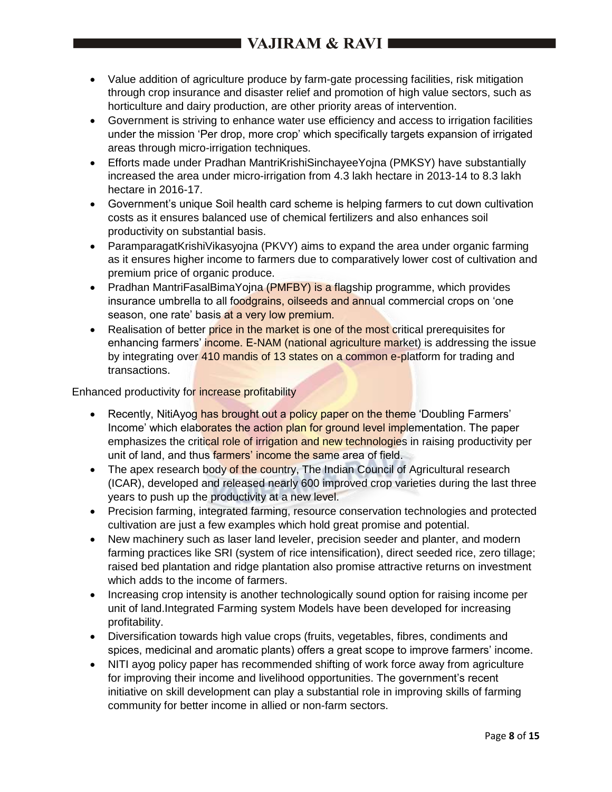# I VAJIRAM & RAVI 1

- Value addition of agriculture produce by farm-gate processing facilities, risk mitigation through crop insurance and disaster relief and promotion of high value sectors, such as horticulture and dairy production, are other priority areas of intervention.
- Government is striving to enhance water use efficiency and access to irrigation facilities under the mission 'Per drop, more crop' which specifically targets expansion of irrigated areas through micro-irrigation techniques.
- Efforts made under Pradhan MantriKrishiSinchayeeYojna (PMKSY) have substantially increased the area under micro-irrigation from 4.3 lakh hectare in 2013-14 to 8.3 lakh hectare in 2016-17.
- Government's unique Soil health card scheme is helping farmers to cut down cultivation costs as it ensures balanced use of chemical fertilizers and also enhances soil productivity on substantial basis.
- ParamparagatKrishiVikasyojna (PKVY) aims to expand the area under organic farming as it ensures higher income to farmers due to comparatively lower cost of cultivation and premium price of organic produce.
- Pradhan MantriFasalBimaYojna (PMFBY) is a flagship programme, which provides insurance umbrella to all foodgrains, oilseeds and annual commercial crops on 'one season, one rate' basis at a very low premium.
- Realisation of better price in the market is one of the most critical prerequisites for enhancing farmers' income. E-NAM (national agriculture market) is addressing the issue by integrating over 410 mandis of 13 states on a common e-platform for trading and transactions.

Enhanced productivity for increase profitability

- Recently, NitiAyog has brought out a policy paper on the theme 'Doubling Farmers' Income' which elaborates the action plan for ground level implementation. The paper emphasizes the critical role of irrigation and new technologies in raising productivity per unit of land, and thus farmers' income the same area of field.
- The apex research body of the country, The Indian Council of Agricultural research (ICAR), developed and released nearly 600 improved crop varieties during the last three years to push up the productivity at a new level.
- Precision farming, integrated farming, resource conservation technologies and protected cultivation are just a few examples which hold great promise and potential.
- New machinery such as laser land leveler, precision seeder and planter, and modern farming practices like SRI (system of rice intensification), direct seeded rice, zero tillage; raised bed plantation and ridge plantation also promise attractive returns on investment which adds to the income of farmers.
- Increasing crop intensity is another technologically sound option for raising income per unit of land.Integrated Farming system Models have been developed for increasing profitability.
- Diversification towards high value crops (fruits, vegetables, fibres, condiments and spices, medicinal and aromatic plants) offers a great scope to improve farmers' income.
- NITI ayog policy paper has recommended shifting of work force away from agriculture for improving their income and livelihood opportunities. The government's recent initiative on skill development can play a substantial role in improving skills of farming community for better income in allied or non-farm sectors.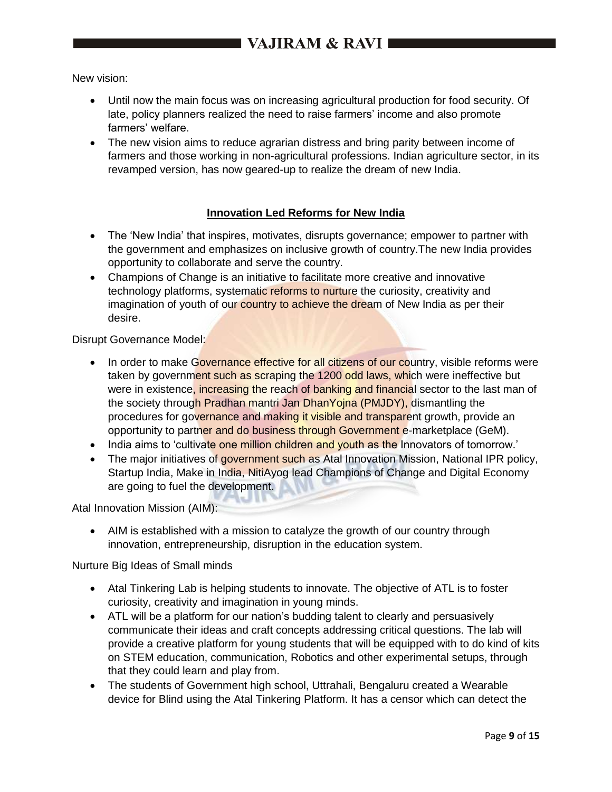New vision:

- Until now the main focus was on increasing agricultural production for food security. Of late, policy planners realized the need to raise farmers' income and also promote farmers' welfare.
- The new vision aims to reduce agrarian distress and bring parity between income of farmers and those working in non-agricultural professions. Indian agriculture sector, in its revamped version, has now geared-up to realize the dream of new India.

## **Innovation Led Reforms for New India**

- The 'New India' that inspires, motivates, disrupts governance; empower to partner with the government and emphasizes on inclusive growth of country.The new India provides opportunity to collaborate and serve the country.
- Champions of Change is an initiative to facilitate more creative and innovative technology platforms, systematic reforms to nurture the curiosity, creativity and imagination of youth of our country to achieve the dream of New India as per their desire.

Disrupt Governance Model:

- In order to make Governance effective for all citizens of our country, visible reforms were taken by government such as scraping the 1200 odd laws, which were ineffective but were in existence, increasing the reach of banking and financial sector to the last man of the society through Pradhan mantri Jan DhanYojna (PMJDY), dismantling the procedures for governance and making it visible and transparent growth, provide an opportunity to partner and do business through Government e-marketplace (GeM).
- India aims to 'cultivate one million children and youth as the Innovators of tomorrow.'
- The major initiatives of government such as Atal Innovation Mission, National IPR policy, Startup India, Make in India, NitiAyog lead Champions of Change and Digital Economy are going to fuel the development.

Atal Innovation Mission (AIM):

 AIM is established with a mission to catalyze the growth of our country through innovation, entrepreneurship, disruption in the education system.

Nurture Big Ideas of Small minds

- Atal Tinkering Lab is helping students to innovate. The objective of ATL is to foster curiosity, creativity and imagination in young minds.
- ATL will be a platform for our nation's budding talent to clearly and persuasively communicate their ideas and craft concepts addressing critical questions. The lab will provide a creative platform for young students that will be equipped with to do kind of kits on STEM education, communication, Robotics and other experimental setups, through that they could learn and play from.
- The students of Government high school, Uttrahali, Bengaluru created a Wearable device for Blind using the Atal Tinkering Platform. It has a censor which can detect the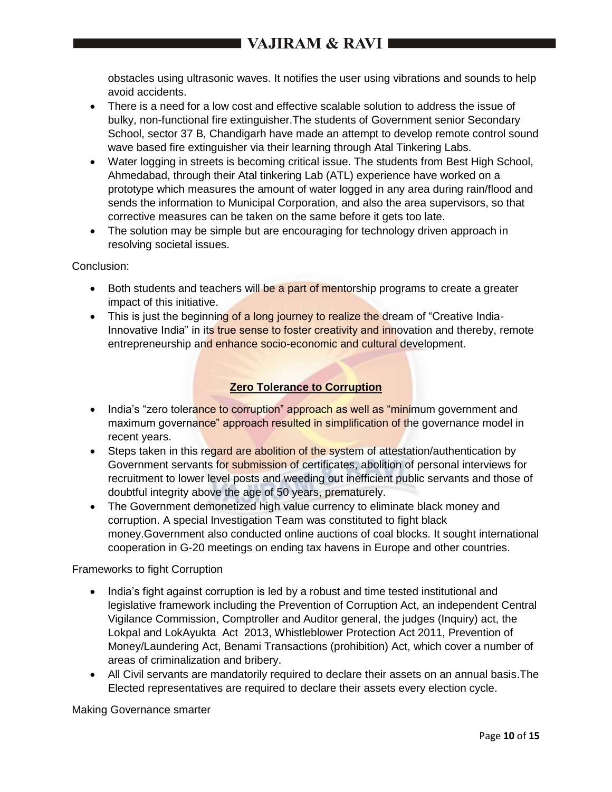obstacles using ultrasonic waves. It notifies the user using vibrations and sounds to help avoid accidents.

- There is a need for a low cost and effective scalable solution to address the issue of bulky, non-functional fire extinguisher.The students of Government senior Secondary School, sector 37 B, Chandigarh have made an attempt to develop remote control sound wave based fire extinguisher via their learning through Atal Tinkering Labs.
- Water logging in streets is becoming critical issue. The students from Best High School, Ahmedabad, through their Atal tinkering Lab (ATL) experience have worked on a prototype which measures the amount of water logged in any area during rain/flood and sends the information to Municipal Corporation, and also the area supervisors, so that corrective measures can be taken on the same before it gets too late.
- The solution may be simple but are encouraging for technology driven approach in resolving societal issues.

Conclusion:

- Both students and teachers will be a part of mentorship programs to create a greater impact of this initiative.
- This is just the beginning of a long journey to realize the dream of "Creative India-Innovative India" in its true sense to foster creativity and innovation and thereby, remote entrepreneurship and enhance socio-economic and cultural development.

## **Zero Tolerance to Corruption**

- India's "zero tolerance to corruption" approach as well as "minimum government and maximum governance" approach resulted in simplification of the governance model in recent years.
- Steps taken in this regard are abolition of the system of attestation/authentication by Government servants for submission of certificates, abolition of personal interviews for recruitment to lower level posts and weeding out inefficient public servants and those of doubtful integrity above the age of 50 years, prematurely.
- The Government demonetized high value currency to eliminate black money and corruption. A special Investigation Team was constituted to fight black money.Government also conducted online auctions of coal blocks. It sought international cooperation in G-20 meetings on ending tax havens in Europe and other countries.

## Frameworks to fight Corruption

- India's fight against corruption is led by a robust and time tested institutional and legislative framework including the Prevention of Corruption Act, an independent Central Vigilance Commission, Comptroller and Auditor general, the judges (Inquiry) act, the Lokpal and LokAyukta Act 2013, Whistleblower Protection Act 2011, Prevention of Money/Laundering Act, Benami Transactions (prohibition) Act, which cover a number of areas of criminalization and bribery.
- All Civil servants are mandatorily required to declare their assets on an annual basis.The Elected representatives are required to declare their assets every election cycle.

Making Governance smarter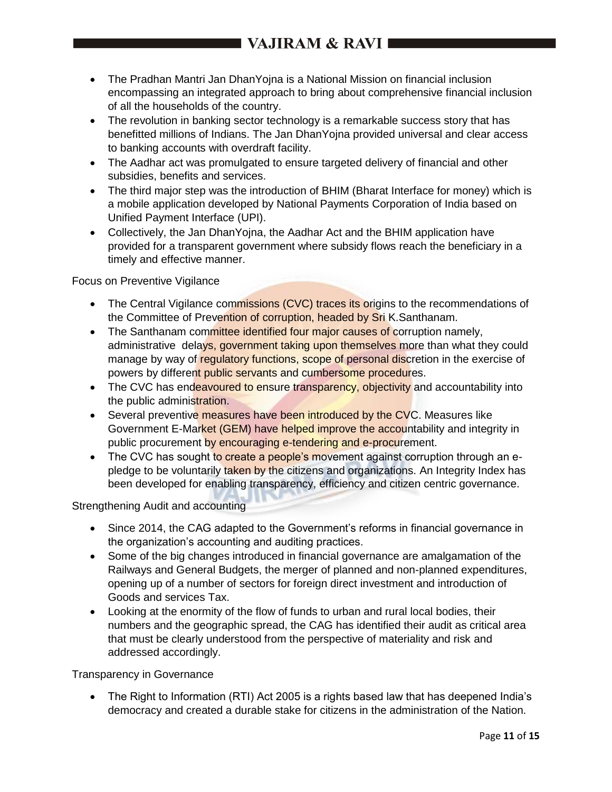- The Pradhan Mantri Jan DhanYojna is a National Mission on financial inclusion encompassing an integrated approach to bring about comprehensive financial inclusion of all the households of the country.
- The revolution in banking sector technology is a remarkable success story that has benefitted millions of Indians. The Jan DhanYojna provided universal and clear access to banking accounts with overdraft facility.
- The Aadhar act was promulgated to ensure targeted delivery of financial and other subsidies, benefits and services.
- The third major step was the introduction of BHIM (Bharat Interface for money) which is a mobile application developed by National Payments Corporation of India based on Unified Payment Interface (UPI).
- Collectively, the Jan DhanYojna, the Aadhar Act and the BHIM application have provided for a transparent government where subsidy flows reach the beneficiary in a timely and effective manner.

## Focus on Preventive Vigilance

- The Central Vigilance commissions (CVC) traces its origins to the recommendations of the Committee of Prevention of corruption, headed by Sri K.Santhanam.
- The Santhanam committee identified four major causes of corruption namely, administrative delays, government taking upon themselves more than what they could manage by way of regulatory functions, scope of personal discretion in the exercise of powers by different public servants and cumbersome procedures.
- The CVC has endeavoured to ensure transparency, objectivity and accountability into the public administration.
- Several preventive measures have been introduced by the CVC. Measures like Government E-Market (GEM) have helped improve the accountability and integrity in public procurement by encouraging e-tendering and e-procurement.
- The CVC has sought to create a people's movement against corruption through an epledge to be voluntarily taken by the citizens and organizations. An Integrity Index has been developed for enabling transparency, efficiency and citizen centric governance.

## Strengthening Audit and accounting

- Since 2014, the CAG adapted to the Government's reforms in financial governance in the organization's accounting and auditing practices.
- Some of the big changes introduced in financial governance are amalgamation of the Railways and General Budgets, the merger of planned and non-planned expenditures, opening up of a number of sectors for foreign direct investment and introduction of Goods and services Tax.
- Looking at the enormity of the flow of funds to urban and rural local bodies, their numbers and the geographic spread, the CAG has identified their audit as critical area that must be clearly understood from the perspective of materiality and risk and addressed accordingly.

#### Transparency in Governance

• The Right to Information (RTI) Act 2005 is a rights based law that has deepened India's democracy and created a durable stake for citizens in the administration of the Nation.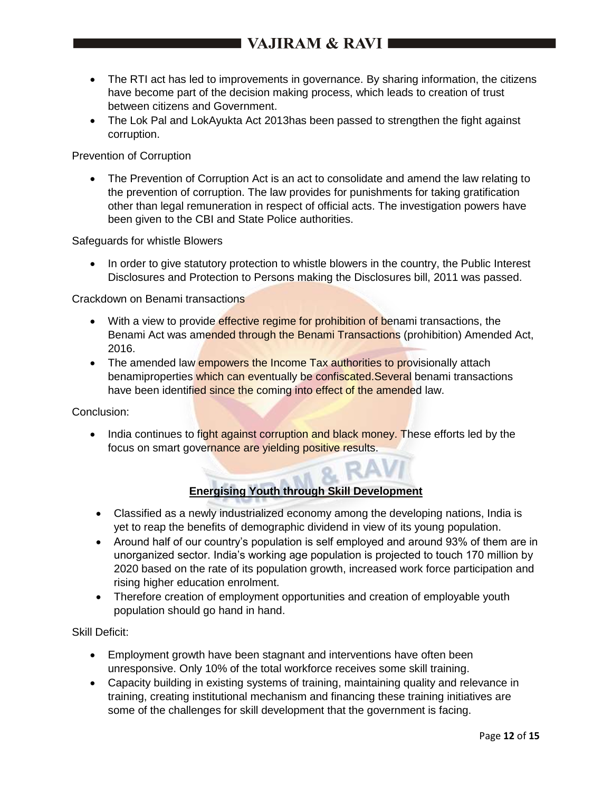- The RTI act has led to improvements in governance. By sharing information, the citizens have become part of the decision making process, which leads to creation of trust between citizens and Government.
- The Lok Pal and LokAyukta Act 2013has been passed to strengthen the fight against corruption.

Prevention of Corruption

 The Prevention of Corruption Act is an act to consolidate and amend the law relating to the prevention of corruption. The law provides for punishments for taking gratification other than legal remuneration in respect of official acts. The investigation powers have been given to the CBI and State Police authorities.

Safeguards for whistle Blowers

 In order to give statutory protection to whistle blowers in the country, the Public Interest Disclosures and Protection to Persons making the Disclosures bill, 2011 was passed.

Crackdown on Benami transactions

- With a view to provide effective regime for prohibition of benami transactions, the Benami Act was amended through the Benami Transactions (prohibition) Amended Act, 2016.
- The amended law empowers the Income Tax authorities to provisionally attach benamiproperties which can eventually be confiscated.Several benami transactions have been identified since the coming into effect of the amended law.

Conclusion:

• India continues to fight against corruption and black money. These efforts led by the focus on smart governance are yielding positive results.

# **Energising Youth through Skill Development**

- Classified as a newly industrialized economy among the developing nations, India is yet to reap the benefits of demographic dividend in view of its young population.
- Around half of our country's population is self employed and around 93% of them are in unorganized sector. India's working age population is projected to touch 170 million by 2020 based on the rate of its population growth, increased work force participation and rising higher education enrolment.
- Therefore creation of employment opportunities and creation of employable youth population should go hand in hand.

Skill Deficit:

- Employment growth have been stagnant and interventions have often been unresponsive. Only 10% of the total workforce receives some skill training.
- Capacity building in existing systems of training, maintaining quality and relevance in training, creating institutional mechanism and financing these training initiatives are some of the challenges for skill development that the government is facing.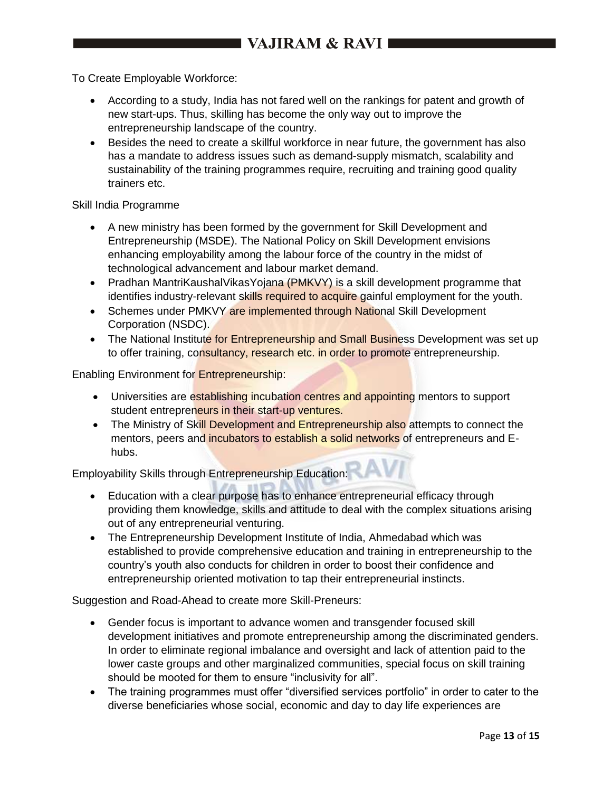To Create Employable Workforce:

- According to a study, India has not fared well on the rankings for patent and growth of new start-ups. Thus, skilling has become the only way out to improve the entrepreneurship landscape of the country.
- Besides the need to create a skillful workforce in near future, the government has also has a mandate to address issues such as demand-supply mismatch, scalability and sustainability of the training programmes require, recruiting and training good quality trainers etc.

#### Skill India Programme

- A new ministry has been formed by the government for Skill Development and Entrepreneurship (MSDE). The National Policy on Skill Development envisions enhancing employability among the labour force of the country in the midst of technological advancement and labour market demand.
- Pradhan MantriKaushalVikasYojana (PMKVY) is a skill development programme that identifies industry-relevant skills required to acquire gainful employment for the youth.
- Schemes under PMKVY are implemented through National Skill Development Corporation (NSDC).
- The National Institute for Entrepreneurship and Small Business Development was set up to offer training, consultancy, research etc. in order to promote entrepreneurship.

Enabling Environment for Entrepreneurship:

- Universities are establishing incubation centres and appointing mentors to support student entrepreneurs in their start-up ventures.
- The Ministry of Skill Development and Entrepreneurship also attempts to connect the mentors, peers and incubators to establish a solid networks of entrepreneurs and Ehubs.

Employability Skills through Entrepreneurship Education:

- Education with a clear purpose has to enhance entrepreneurial efficacy through providing them knowledge, skills and attitude to deal with the complex situations arising out of any entrepreneurial venturing.
- The Entrepreneurship Development Institute of India, Ahmedabad which was established to provide comprehensive education and training in entrepreneurship to the country's youth also conducts for children in order to boost their confidence and entrepreneurship oriented motivation to tap their entrepreneurial instincts.

Suggestion and Road-Ahead to create more Skill-Preneurs:

- Gender focus is important to advance women and transgender focused skill development initiatives and promote entrepreneurship among the discriminated genders. In order to eliminate regional imbalance and oversight and lack of attention paid to the lower caste groups and other marginalized communities, special focus on skill training should be mooted for them to ensure "inclusivity for all".
- The training programmes must offer "diversified services portfolio" in order to cater to the diverse beneficiaries whose social, economic and day to day life experiences are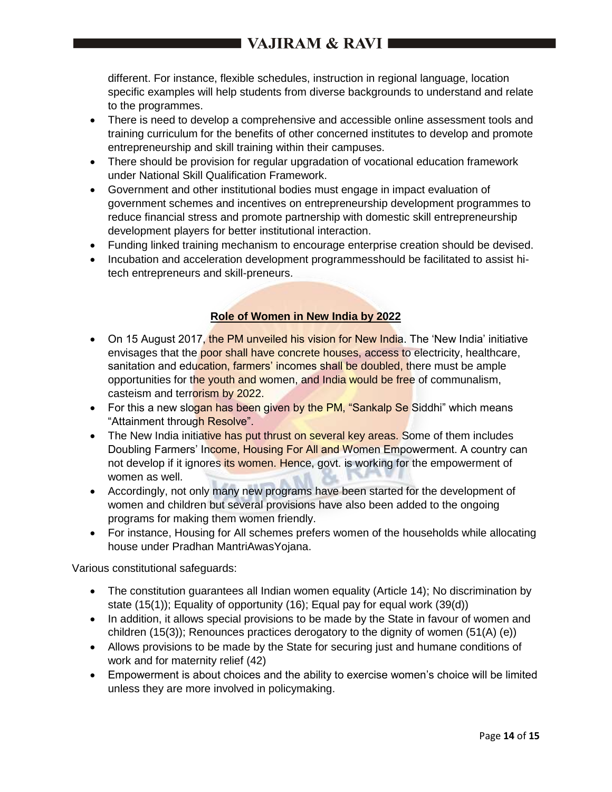different. For instance, flexible schedules, instruction in regional language, location specific examples will help students from diverse backgrounds to understand and relate to the programmes.

- There is need to develop a comprehensive and accessible online assessment tools and training curriculum for the benefits of other concerned institutes to develop and promote entrepreneurship and skill training within their campuses.
- There should be provision for regular upgradation of vocational education framework under National Skill Qualification Framework.
- Government and other institutional bodies must engage in impact evaluation of government schemes and incentives on entrepreneurship development programmes to reduce financial stress and promote partnership with domestic skill entrepreneurship development players for better institutional interaction.
- Funding linked training mechanism to encourage enterprise creation should be devised.
- Incubation and acceleration development programmesshould be facilitated to assist hitech entrepreneurs and skill-preneurs.

## **Role of Women in New India by 2022**

- On 15 August 2017, the PM unveiled his vision for New India. The 'New India' initiative envisages that the poor shall have concrete houses, access to electricity, healthcare, sanitation and education, farmers' incomes shall be doubled, there must be ample opportunities for the youth and women, and India would be free of communalism, casteism and terrorism by 2022.
- For this a new slogan has been given by the PM, "Sankalp Se Siddhi" which means "Attainment through Resolve".
- The New India initiative has put thrust on several key areas. Some of them includes Doubling Farmers' Income, Housing For All and Women Empowerment. A country can not develop if it ignores its women. Hence, govt. is working for the empowerment of women as well.
- Accordingly, not only many new programs have been started for the development of women and children but several provisions have also been added to the ongoing programs for making them women friendly.
- For instance, Housing for All schemes prefers women of the households while allocating house under Pradhan MantriAwasYojana.

Various constitutional safeguards:

- The constitution guarantees all Indian women equality (Article 14); No discrimination by state (15(1)); Equality of opportunity (16); Equal pay for equal work (39(d))
- In addition, it allows special provisions to be made by the State in favour of women and children (15(3)); Renounces practices derogatory to the dignity of women (51(A) (e))
- Allows provisions to be made by the State for securing just and humane conditions of work and for maternity relief (42)
- Empowerment is about choices and the ability to exercise women's choice will be limited unless they are more involved in policymaking.